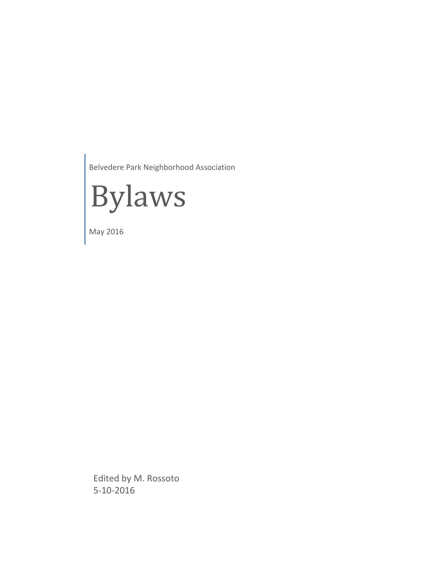Belvedere Park Neighborhood Association



May 2016

Edited by M. Rossoto 5‐10‐2016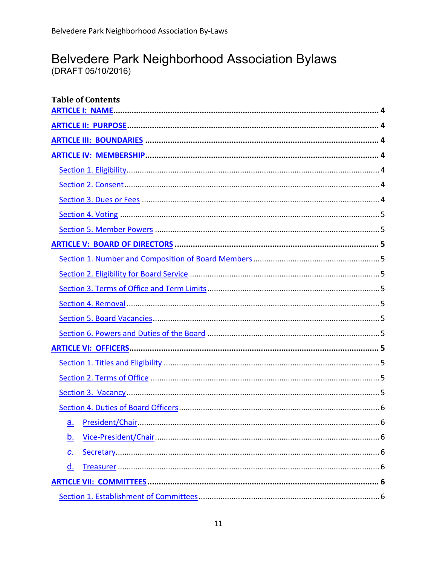# Belvedere Park Neighborhood Association Bylaws

(DRAFT 05/10/2016)

| <b>Table of Contents</b> |
|--------------------------|
|                          |
|                          |
|                          |
|                          |
|                          |
|                          |
|                          |
|                          |
|                          |
|                          |
|                          |
|                          |
|                          |
|                          |
|                          |
|                          |
|                          |
|                          |
|                          |
|                          |
|                          |
| a.                       |
| <u>b.</u>                |
| $C_{\cdot}$              |
| <u>d.</u>                |
|                          |
|                          |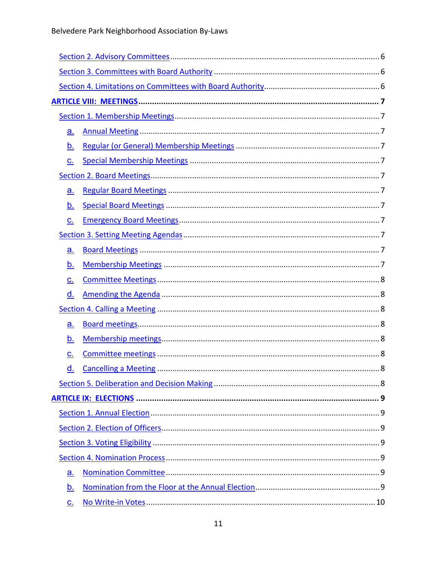| <u>a.</u>                  |  |  |  |  |
|----------------------------|--|--|--|--|
| <u>b.</u>                  |  |  |  |  |
| $\underline{C}$ .          |  |  |  |  |
|                            |  |  |  |  |
| <u>a.</u>                  |  |  |  |  |
| <u>b.</u>                  |  |  |  |  |
| $\underline{C}$ .          |  |  |  |  |
|                            |  |  |  |  |
| a.                         |  |  |  |  |
| <u>b.</u>                  |  |  |  |  |
| $\underline{C}$ .          |  |  |  |  |
| <u>d.</u>                  |  |  |  |  |
|                            |  |  |  |  |
| <u>a.</u>                  |  |  |  |  |
| <u>b.</u>                  |  |  |  |  |
| C.                         |  |  |  |  |
| d                          |  |  |  |  |
|                            |  |  |  |  |
|                            |  |  |  |  |
|                            |  |  |  |  |
|                            |  |  |  |  |
|                            |  |  |  |  |
|                            |  |  |  |  |
| a.                         |  |  |  |  |
| <u>b.</u>                  |  |  |  |  |
| $\underline{\mathbf{C}}$ . |  |  |  |  |
|                            |  |  |  |  |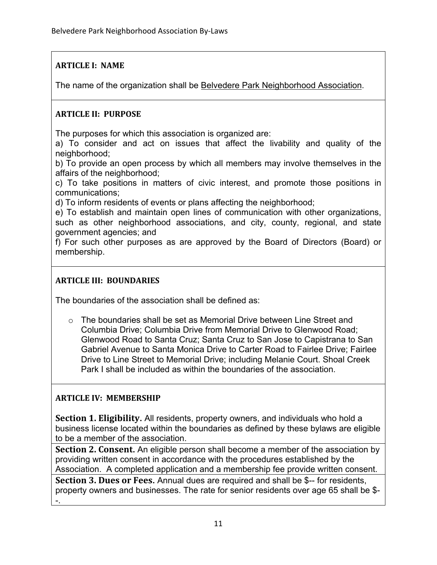# **ARTICLE I: NAME**

The name of the organization shall be Belvedere Park Neighborhood Association.

## **ARTICLE II: PURPOSE**

The purposes for which this association is organized are:

a) To consider and act on issues that affect the livability and quality of the neighborhood;

b) To provide an open process by which all members may involve themselves in the affairs of the neighborhood;

c) To take positions in matters of civic interest, and promote those positions in communications;

d) To inform residents of events or plans affecting the neighborhood;

e) To establish and maintain open lines of communication with other organizations, such as other neighborhood associations, and city, county, regional, and state government agencies; and

f) For such other purposes as are approved by the Board of Directors (Board) or membership.

## **ARTICLE III: BOUNDARIES**

The boundaries of the association shall be defined as:

o The boundaries shall be set as Memorial Drive between Line Street and Columbia Drive; Columbia Drive from Memorial Drive to Glenwood Road; Glenwood Road to Santa Cruz; Santa Cruz to San Jose to Capistrana to San Gabriel Avenue to Santa Monica Drive to Carter Road to Fairlee Drive; Fairlee Drive to Line Street to Memorial Drive; including Melanie Court. Shoal Creek Park I shall be included as within the boundaries of the association.

## **ARTICLE IV: MEMBERSHIP**

**Section 1. Eligibility.** All residents, property owners, and individuals who hold a business license located within the boundaries as defined by these bylaws are eligible to be a member of the association.

**Section 2. Consent.** An eligible person shall become a member of the association by providing written consent in accordance with the procedures established by the Association.A completed application and a membership fee provide written consent.

**Section 3. Dues or Fees.** Annual dues are required and shall be \$-- for residents, property owners and businesses. The rate for senior residents over age 65 shall be \$- -.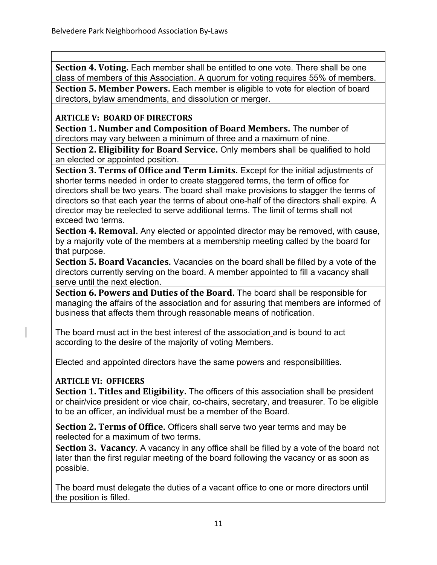**Section 4. Voting.** Each member shall be entitled to one vote. There shall be one class of members of this Association. A quorum for voting requires 55% of members.

**Section 5. Member Powers.** Each member is eligible to vote for election of board directors, bylaw amendments, and dissolution or merger.

## **ARTICLE V: BOARD OF DIRECTORS**

**Section 1. Number and Composition of Board Members.** The number of directors may vary between a minimum of three and a maximum of nine.

**Section 2. Eligibility for Board Service.** Only members shall be qualified to hold an elected or appointed position.

**Section 3. Terms of Office and Term Limits.** Except for the initial adjustments of shorter terms needed in order to create staggered terms, the term of office for directors shall be two years. The board shall make provisions to stagger the terms of directors so that each year the terms of about one-half of the directors shall expire. A director may be reelected to serve additional terms. The limit of terms shall not exceed two terms.

**Section 4. Removal.** Any elected or appointed director may be removed, with cause, by a majority vote of the members at a membership meeting called by the board for that purpose.

**Section 5. Board Vacancies.** Vacancies on the board shall be filled by a vote of the directors currently serving on the board. A member appointed to fill a vacancy shall serve until the next election.

**Section 6. Powers and Duties of the Board.** The board shall be responsible for managing the affairs of the association and for assuring that members are informed of business that affects them through reasonable means of notification.

The board must act in the best interest of the association and is bound to act according to the desire of the majority of voting Members.

Elected and appointed directors have the same powers and responsibilities.

## **ARTICLE VI: OFFICERS**

**Section 1. Titles and Eligibility.** The officers of this association shall be president or chair/vice president or vice chair, co-chairs, secretary, and treasurer. To be eligible to be an officer, an individual must be a member of the Board.

**Section 2. Terms of Office.** Officers shall serve two year terms and may be reelected for a maximum of two terms.

**Section 3. Vacancy.** A vacancy in any office shall be filled by a vote of the board not later than the first regular meeting of the board following the vacancy or as soon as possible.

The board must delegate the duties of a vacant office to one or more directors until the position is filled.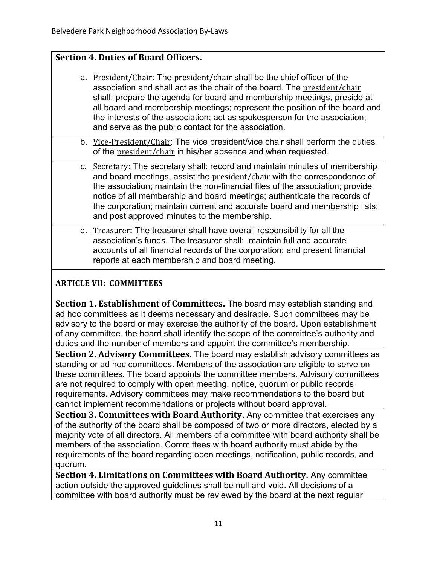## **Section 4. Duties of Board Officers.**

- a. President/Chair: The president/chair shall be the chief officer of the association and shall act as the chair of the board. The president/chair shall: prepare the agenda for board and membership meetings, preside at all board and membership meetings; represent the position of the board and the interests of the association; act as spokesperson for the association; and serve as the public contact for the association.
- b. Vice-President/Chair: The vice president/vice chair shall perform the duties of the president/chair in his/her absence and when requested.
- *c.* Secretary**:** The secretary shall: record and maintain minutes of membership and board meetings, assist the president/chair with the correspondence of the association; maintain the non-financial files of the association; provide notice of all membership and board meetings; authenticate the records of the corporation; maintain current and accurate board and membership lists; and post approved minutes to the membership.
- d. Treasurer**:** The treasurer shall have overall responsibility for all the association's funds. The treasurer shall: maintain full and accurate accounts of all financial records of the corporation; and present financial reports at each membership and board meeting.

# **ARTICLE VII: COMMITTEES**

**Section 1. Establishment of Committees.** The board may establish standing and ad hoc committees as it deems necessary and desirable. Such committees may be advisory to the board or may exercise the authority of the board. Upon establishment of any committee, the board shall identify the scope of the committee's authority and duties and the number of members and appoint the committee's membership.

**Section 2. Advisory Committees.** The board may establish advisory committees as standing or ad hoc committees. Members of the association are eligible to serve on these committees. The board appoints the committee members. Advisory committees are not required to comply with open meeting, notice, quorum or public records requirements. Advisory committees may make recommendations to the board but cannot implement recommendations or projects without board approval.

**Section 3. Committees with Board Authority.** Any committee that exercises any of the authority of the board shall be composed of two or more directors, elected by a majority vote of all directors. All members of a committee with board authority shall be members of the association. Committees with board authority must abide by the requirements of the board regarding open meetings, notification, public records, and quorum.

**Section 4. Limitations on Committees with Board Authority.** Any committee action outside the approved guidelines shall be null and void. All decisions of a committee with board authority must be reviewed by the board at the next regular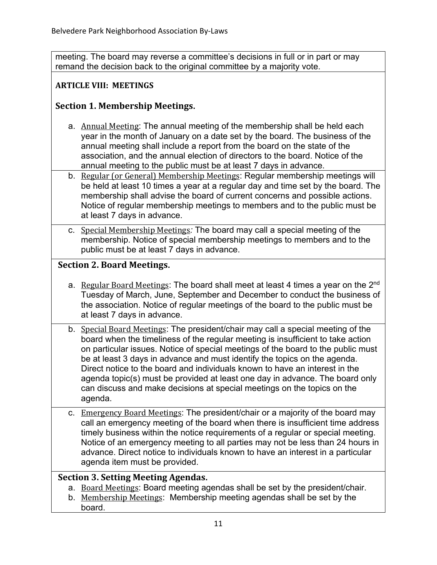meeting. The board may reverse a committee's decisions in full or in part or may remand the decision back to the original committee by a majority vote.

#### **ARTICLE VIII: MEETINGS**

## **Section 1. Membership Meetings.**

- a. Annual Meeting: The annual meeting of the membership shall be held each year in the month of January on a date set by the board. The business of the annual meeting shall include a report from the board on the state of the association, and the annual election of directors to the board. Notice of the annual meeting to the public must be at least 7 days in advance.
- b. Regular (or General) Membership Meetings: Regular membership meetings will be held at least 10 times a year at a regular day and time set by the board. The membership shall advise the board of current concerns and possible actions. Notice of regular membership meetings to members and to the public must be at least 7 days in advance.
- c. Special Membership Meetings*:* The board may call a special meeting of the membership. Notice of special membership meetings to members and to the public must be at least 7 days in advance.

#### **Section 2. Board Meetings.**

- a. Regular Board Meetings: The board shall meet at least 4 times a year on the 2<sup>nd</sup> Tuesday of March, June, September and December to conduct the business of the association. Notice of regular meetings of the board to the public must be at least 7 days in advance.
- b. Special Board Meetings: The president/chair may call a special meeting of the board when the timeliness of the regular meeting is insufficient to take action on particular issues. Notice of special meetings of the board to the public must be at least 3 days in advance and must identify the topics on the agenda. Direct notice to the board and individuals known to have an interest in the agenda topic(s) must be provided at least one day in advance. The board only can discuss and make decisions at special meetings on the topics on the agenda.
- c. Emergency Board Meetings: The president/chair or a majority of the board may call an emergency meeting of the board when there is insufficient time address timely business within the notice requirements of a regular or special meeting. Notice of an emergency meeting to all parties may not be less than 24 hours in advance. Direct notice to individuals known to have an interest in a particular agenda item must be provided.

#### **Section 3. Setting Meeting Agendas.**

- a. Board Meetings: Board meeting agendas shall be set by the president/chair.
- b. Membership Meetings: Membership meeting agendas shall be set by the board.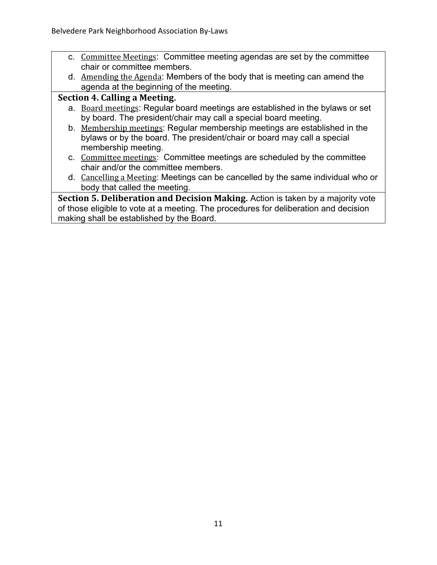- c. Committee Meetings: Committee meeting agendas are set by the committee chair or committee members.
- d. Amending the Agenda: Members of the body that is meeting can amend the agenda at the beginning of the meeting.

# **Section 4. Calling a Meeting.**

- a. Board meetings: Regular board meetings are established in the bylaws or set by board. The president/chair may call a special board meeting.
- b. Membership meetings: Regular membership meetings are established in the bylaws or by the board. The president/chair or board may call a special membership meeting.
- c. Committee meetings: Committee meetings are scheduled by the committee chair and/or the committee members.
- d. Cancelling a Meeting: Meetings can be cancelled by the same individual who or body that called the meeting.

**Section 5. Deliberation and Decision Making.** Action is taken by a majority vote of those eligible to vote at a meeting. The procedures for deliberation and decision making shall be established by the Board.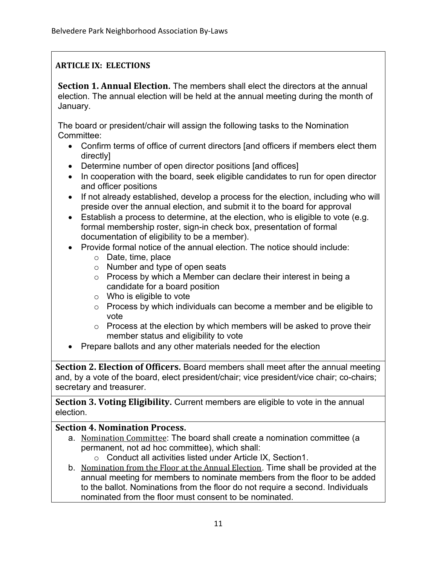## **ARTICLE IX: ELECTIONS**

**Section 1. Annual Election.** The members shall elect the directors at the annual election. The annual election will be held at the annual meeting during the month of January.

The board or president/chair will assign the following tasks to the Nomination Committee:

- Confirm terms of office of current directors [and officers if members elect them directly]
- Determine number of open director positions [and offices]
- In cooperation with the board, seek eligible candidates to run for open director and officer positions
- If not already established, develop a process for the election, including who will preside over the annual election, and submit it to the board for approval
- Establish a process to determine, at the election, who is eligible to vote (e.g. formal membership roster, sign-in check box, presentation of formal documentation of eligibility to be a member).
- Provide formal notice of the annual election. The notice should include:
	- o Date, time, place
	- o Number and type of open seats
	- o Process by which a Member can declare their interest in being a candidate for a board position
	- $\circ$  Who is eligible to vote
	- o Process by which individuals can become a member and be eligible to vote
	- $\circ$  Process at the election by which members will be asked to prove their member status and eligibility to vote
- Prepare ballots and any other materials needed for the election

**Section 2. Election of Officers.** Board members shall meet after the annual meeting and, by a vote of the board, elect president/chair; vice president/vice chair; co-chairs; secretary and treasurer.

**Section 3. Voting Eligibility.** Current members are eligible to vote in the annual election.

## **Section 4. Nomination Process.**

- a. Nomination Committee: The board shall create a nomination committee (a permanent, not ad hoc committee), which shall:
	- o Conduct all activities listed under Article IX, Section1.
- b. Nomination from the Floor at the Annual Election. Time shall be provided at the annual meeting for members to nominate members from the floor to be added to the ballot. Nominations from the floor do not require a second. Individuals nominated from the floor must consent to be nominated.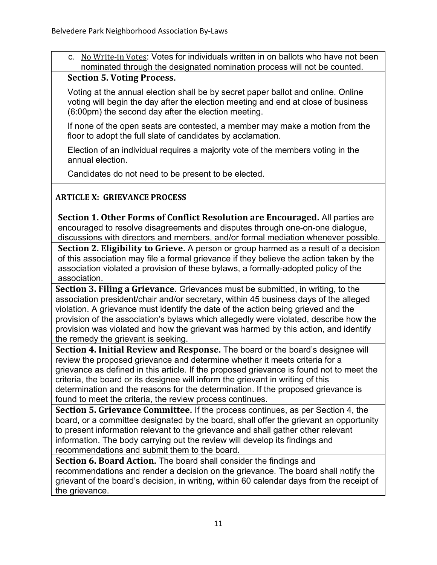c. No Write-in Votes: Votes for individuals written in on ballots who have not been nominated through the designated nomination process will not be counted.

#### **Section 5. Voting Process.**

Voting at the annual election shall be by secret paper ballot and online. Online voting will begin the day after the election meeting and end at close of business (6:00pm) the second day after the election meeting.

If none of the open seats are contested, a member may make a motion from the floor to adopt the full slate of candidates by acclamation.

Election of an individual requires a majority vote of the members voting in the annual election.

Candidates do not need to be present to be elected.

#### **ARTICLE X: GRIEVANCE PROCESS**

**Section 1. Other Forms of Conflict Resolution are Encouraged.** All parties are encouraged to resolve disagreements and disputes through one-on-one dialogue, discussions with directors and members, and/or formal mediation whenever possible.

**Section 2. Eligibility to Grieve.** A person or group harmed as a result of a decision of this association may file a formal grievance if they believe the action taken by the association violated a provision of these bylaws, a formally-adopted policy of the association.

**Section 3. Filing a Grievance.** Grievances must be submitted, in writing, to the association president/chair and/or secretary, within 45 business days of the alleged violation. A grievance must identify the date of the action being grieved and the provision of the association's bylaws which allegedly were violated, describe how the provision was violated and how the grievant was harmed by this action, and identify the remedy the grievant is seeking.

**Section 4. Initial Review and Response.** The board or the board's designee will review the proposed grievance and determine whether it meets criteria for a grievance as defined in this article. If the proposed grievance is found not to meet the criteria, the board or its designee will inform the grievant in writing of this determination and the reasons for the determination. If the proposed grievance is found to meet the criteria, the review process continues.

**Section 5. Grievance Committee.** If the process continues, as per Section 4, the board, or a committee designated by the board, shall offer the grievant an opportunity to present information relevant to the grievance and shall gather other relevant information. The body carrying out the review will develop its findings and recommendations and submit them to the board.

**Section 6. Board Action.** The board shall consider the findings and recommendations and render a decision on the grievance. The board shall notify the grievant of the board's decision, in writing, within 60 calendar days from the receipt of the grievance.